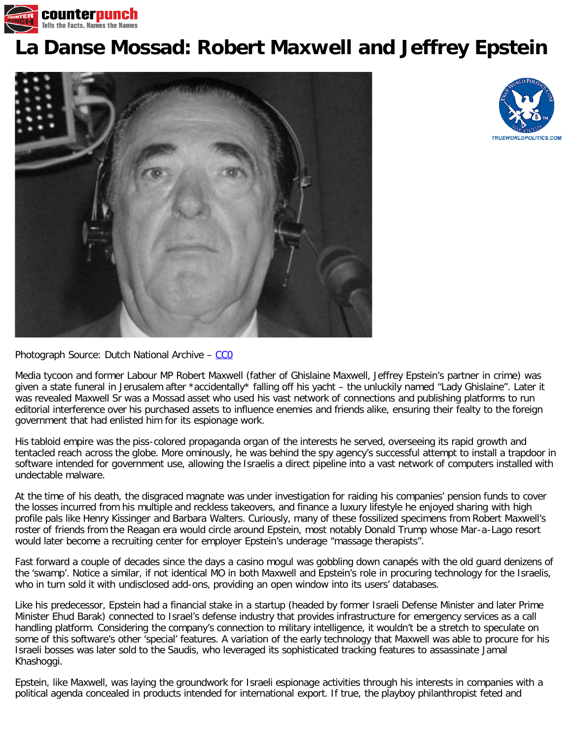

## **[La Danse Mossad: Robert Maxwell and Jeffrey Epstein](https://www.counterpunch.org/2019/08/16/la-danse-mossad-robert-maxwell-and-jeffrey-epstein/)**





## Photograph Source: Dutch National Archive - CCO

Media tycoon and former Labour MP Robert Maxwell (father of Ghislaine Maxwell, Jeffrey Epstein's partner in crime) was given a state funeral in Jerusalem after \*accidentally\* falling off his yacht - the unluckily named "Lady Ghislaine". Later it was revealed Maxwell Sr was a Mossad asset who used his vast network of connections and publishing platforms to run editorial interference over his purchased assets to influence enemies and friends alike, ensuring their fealty to the foreign government that had enlisted him for its espionage work.

His tabloid empire was the piss-colored propaganda organ of the interests he served, overseeing its rapid growth and tentacled reach across the globe. More ominously, he was behind the spy agency's successful attempt to install a trapdoor in software intended for government use, allowing the Israelis a direct pipeline into a vast network of computers installed with undectable malware.

At the time of his death, the disgraced magnate was under investigation for raiding his companies' pension funds to cover the losses incurred from his multiple and reckless takeovers, and finance a luxury lifestyle he enjoyed sharing with high profile pals like Henry Kissinger and Barbara Walters. Curiously, many of these fossilized specimens from Robert Maxwell's roster of friends from the Reagan era would circle around Epstein, most notably Donald Trump whose Mar-a-Lago resort would later become a recruiting center for employer Epstein's underage "massage therapists".

Fast forward a couple of decades since the days a casino mogul was gobbling down canapés with the old guard denizens of the 'swamp'. Notice a similar, if not identical MO in both Maxwell and Epstein's role in procuring technology for the Israelis, who in turn sold it with undisclosed add-ons, providing an open window into its users' databases.

Like his predecessor, Epstein had a financial stake in a startup (headed by former Israeli Defense Minister and later Prime Minister Ehud Barak) connected to Israel's defense industry that provides infrastructure for emergency services as a call handling platform. Considering the company's connection to military intelligence, it wouldn't be a stretch to speculate on some of this software's other 'special' features. A variation of the early technology that Maxwell was able to procure for his Israeli bosses was later sold to the Saudis, who leveraged its sophisticated tracking features to assassinate Jamal Khashoggi.

Epstein, like Maxwell, was laying the groundwork for Israeli espionage activities through his interests in companies with a political agenda concealed in products intended for international export. If true, the playboy philanthropist feted and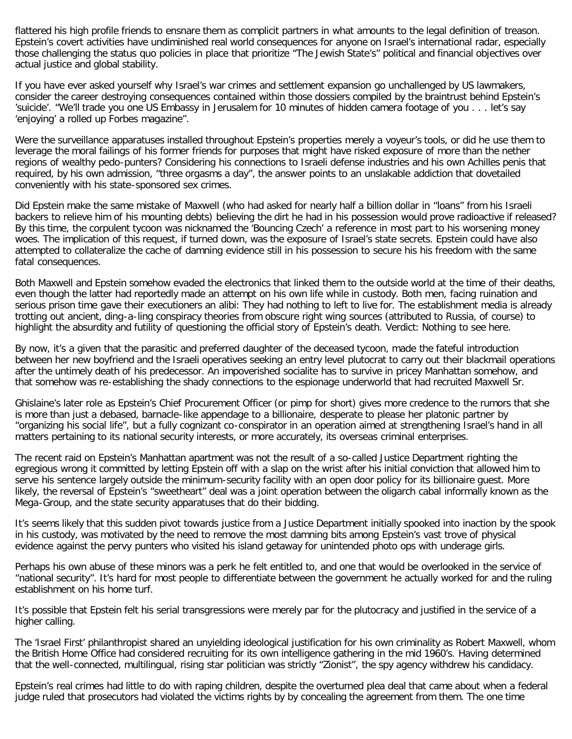flattered his high profile friends to ensnare them as complicit partners in what amounts to the legal definition of treason. Epstein's covert activities have undiminished real world consequences for anyone on Israel's international radar, especially those challenging the status quo policies in place that prioritize "The Jewish State's" political and financial objectives over actual justice and global stability.

If you have ever asked yourself why Israel's war crimes and settlement expansion go unchallenged by US lawmakers, consider the career destroying consequences contained within those dossiers compiled by the braintrust behind Epstein's 'suicide'. "We'll trade you one US Embassy in Jerusalem for 10 minutes of hidden camera footage of you . . . let's say 'enjoying' a rolled up Forbes magazine".

Were the surveillance apparatuses installed throughout Epstein's properties merely a voyeur's tools, or did he use them to leverage the moral failings of his former friends for purposes that might have risked exposure of more than the nether regions of wealthy pedo-punters? Considering his connections to Israeli defense industries and his own Achilles penis that required, by his own admission, "three orgasms a day", the answer points to an unslakable addiction that dovetailed conveniently with his state-sponsored sex crimes.

Did Epstein make the same mistake of Maxwell (who had asked for nearly half a billion dollar in "loans" from his Israeli backers to relieve him of his mounting debts) believing the dirt he had in his possession would prove radioactive if released? By this time, the corpulent tycoon was nicknamed the 'Bouncing Czech' a reference in most part to his worsening money woes. The implication of this request, if turned down, was the exposure of Israel's state secrets. Epstein could have also attempted to collateralize the cache of damning evidence still in his possession to secure his his freedom with the same fatal consequences.

Both Maxwell and Epstein somehow evaded the electronics that linked them to the outside world at the time of their deaths, even though the latter had reportedly made an attempt on his own life while in custody. Both men, facing ruination and serious prison time gave their executioners an alibi: They had nothing to left to live for. The establishment media is already trotting out ancient, ding-a-ling conspiracy theories from obscure right wing sources (attributed to Russia, of course) to highlight the absurdity and futility of questioning the official story of Epstein's death. Verdict: Nothing to see here.

By now, it's a given that the parasitic and preferred daughter of the deceased tycoon, made the fateful introduction between her new boyfriend and the Israeli operatives seeking an entry level plutocrat to carry out their blackmail operations after the untimely death of his predecessor. An impoverished socialite has to survive in pricey Manhattan somehow, and that somehow was re-establishing the shady connections to the espionage underworld that had recruited Maxwell Sr.

Ghislaine's later role as Epstein's Chief Procurement Officer (or pimp for short) gives more credence to the rumors that she is more than just a debased, barnacle-like appendage to a billionaire, desperate to please her platonic partner by "organizing his social life", but a fully cognizant co-conspirator in an operation aimed at strengthening Israel's hand in all matters pertaining to its national security interests, or more accurately, its overseas criminal enterprises.

The recent raid on Epstein's Manhattan apartment was not the result of a so-called Justice Department righting the egregious wrong it committed by letting Epstein off with a slap on the wrist after his initial conviction that allowed him to serve his sentence largely outside the minimum-security facility with an open door policy for its billionaire guest. More likely, the reversal of Epstein's "sweetheart" deal was a joint operation between the oligarch cabal informally known as the Mega-Group, and the state security apparatuses that do their bidding.

It's seems likely that this sudden pivot towards justice from a Justice Department initially spooked into inaction by the spook in his custody, was motivated by the need to remove the most damning bits among Epstein's vast trove of physical evidence against the pervy punters who visited his island getaway for unintended photo ops with underage girls.

Perhaps his own abuse of these minors was a perk he felt entitled to, and one that would be overlooked in the service of "national security". It's hard for most people to differentiate between the government he actually worked for and the ruling establishment on his home turf.

It's possible that Epstein felt his serial transgressions were merely par for the plutocracy and justified in the service of a higher calling.

The 'Israel First' philanthropist shared an unyielding ideological justification for his own criminality as Robert Maxwell, whom the British Home Office had considered recruiting for its own intelligence gathering in the mid 1960's. Having determined that the well-connected, multilingual, rising star politician was strictly "Zionist", the spy agency withdrew his candidacy.

Epstein's real crimes had little to do with raping children, despite the overturned plea deal that came about when a federal judge ruled that prosecutors had violated the victims rights by by concealing the agreement from them. The one time